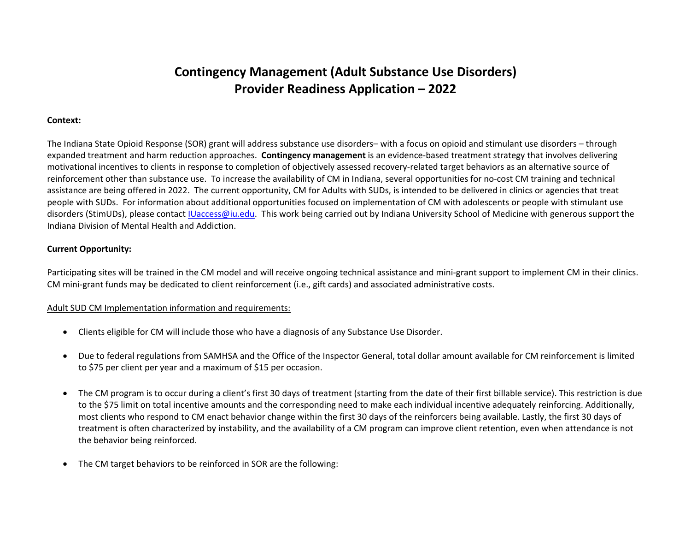# **Contingency Management (Adult Substance Use Disorders) Provider Readiness Application – 2022**

#### **Context:**

The Indiana State Opioid Response (SOR) grant will address substance use disorders– with a focus on opioid and stimulant use disorders – through expanded treatment and harm reduction approaches. **Contingency management** is an evidence-based treatment strategy that involves delivering motivational incentives to clients in response to completion of objectively assessed recovery-related target behaviors as an alternative source of reinforcement other than substance use. To increase the availability of CM in Indiana, several opportunities for no-cost CM training and technical assistance are being offered in 2022. The current opportunity, CM for Adults with SUDs, is intended to be delivered in clinics or agencies that treat people with SUDs. For information about additional opportunities focused on implementation of CM with adolescents or people with stimulant use disorders (StimUDs), please contact [IUaccess@iu.edu.](mailto:IUaccess@iu.edu) This work being carried out by Indiana University School of Medicine with generous support the Indiana Division of Mental Health and Addiction.

### **Current Opportunity:**

Participating sites will be trained in the CM model and will receive ongoing technical assistance and mini-grant support to implement CM in their clinics. CM mini-grant funds may be dedicated to client reinforcement (i.e., gift cards) and associated administrative costs.

#### Adult SUD CM Implementation information and requirements:

- Clients eligible for CM will include those who have a diagnosis of any Substance Use Disorder.
- Due to federal regulations from SAMHSA and the Office of the Inspector General, total dollar amount available for CM reinforcement is limited to \$75 per client per year and a maximum of \$15 per occasion.
- The CM program is to occur during a client's first 30 days of treatment (starting from the date of their first billable service). This restriction is due to the \$75 limit on total incentive amounts and the corresponding need to make each individual incentive adequately reinforcing. Additionally, most clients who respond to CM enact behavior change within the first 30 days of the reinforcers being available. Lastly, the first 30 days of treatment is often characterized by instability, and the availability of a CM program can improve client retention, even when attendance is not the behavior being reinforced.
- The CM target behaviors to be reinforced in SOR are the following: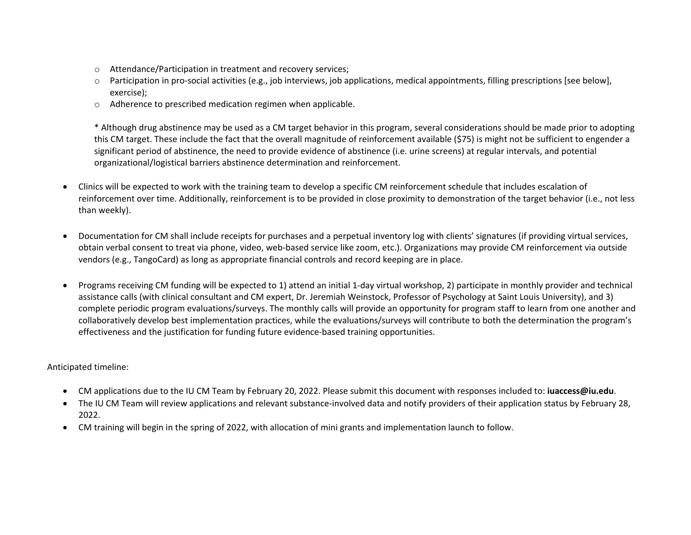- o Attendance/Participation in treatment and recovery services;
- o Participation in pro-social activities (e.g., job interviews, job applications, medical appointments, filling prescriptions [see below], exercise);
- o Adherence to prescribed medication regimen when applicable.

\* Although drug abstinence may be used as a CM target behavior in this program, several considerations should be made prior to adopting this CM target. These include the fact that the overall magnitude of reinforcement available (\$75) is might not be sufficient to engender a significant period of abstinence, the need to provide evidence of abstinence (i.e. urine screens) at regular intervals, and potential organizational/logistical barriers abstinence determination and reinforcement.

- Clinics will be expected to work with the training team to develop a specific CM reinforcement schedule that includes escalation of reinforcement over time. Additionally, reinforcement is to be provided in close proximity to demonstration of the target behavior (i.e., not less than weekly).
- Documentation for CM shall include receipts for purchases and a perpetual inventory log with clients' signatures (if providing virtual services, obtain verbal consent to treat via phone, video, web-based service like zoom, etc.). Organizations may provide CM reinforcement via outside vendors (e.g., TangoCard) as long as appropriate financial controls and record keeping are in place.
- Programs receiving CM funding will be expected to 1) attend an initial 1-day virtual workshop, 2) participate in monthly provider and technical assistance calls (with clinical consultant and CM expert, Dr. Jeremiah Weinstock, Professor of Psychology at Saint Louis University), and 3) complete periodic program evaluations/surveys. The monthly calls will provide an opportunity for program staff to learn from one another and collaboratively develop best implementation practices, while the evaluations/surveys will contribute to both the determination the program's effectiveness and the justification for funding future evidence-based training opportunities.

Anticipated timeline:

- CM applications due to the IU CM Team by February 20, 2022. Please submit this document with responses included to: **iuaccess@iu.edu**.
- The IU CM Team will review applications and relevant substance-involved data and notify providers of their application status by February 28, 2022.
- CM training will begin in the spring of 2022, with allocation of mini grants and implementation launch to follow.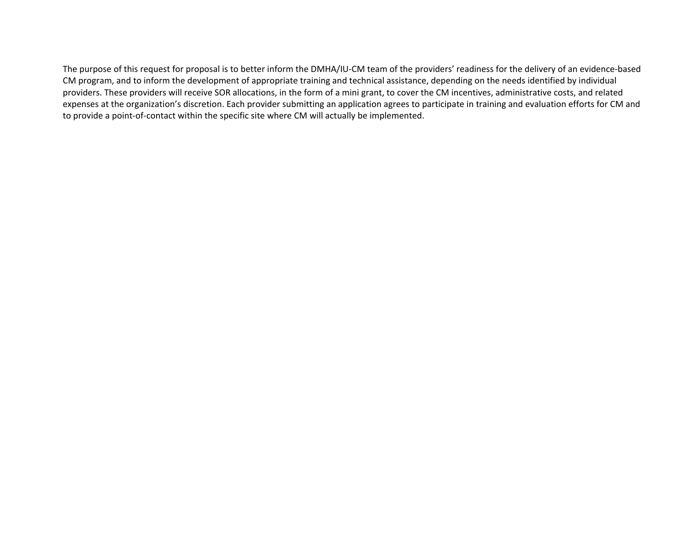The purpose of this request for proposal is to better inform the DMHA/IU-CM team of the providers' readiness for the delivery of an evidence-based CM program, and to inform the development of appropriate training and technical assistance, depending on the needs identified by individual providers. These providers will receive SOR allocations, in the form of a mini grant, to cover the CM incentives, administrative costs, and related expenses at the organization's discretion. Each provider submitting an application agrees to participate in training and evaluation efforts for CM and to provide a point-of-contact within the specific site where CM will actually be implemented.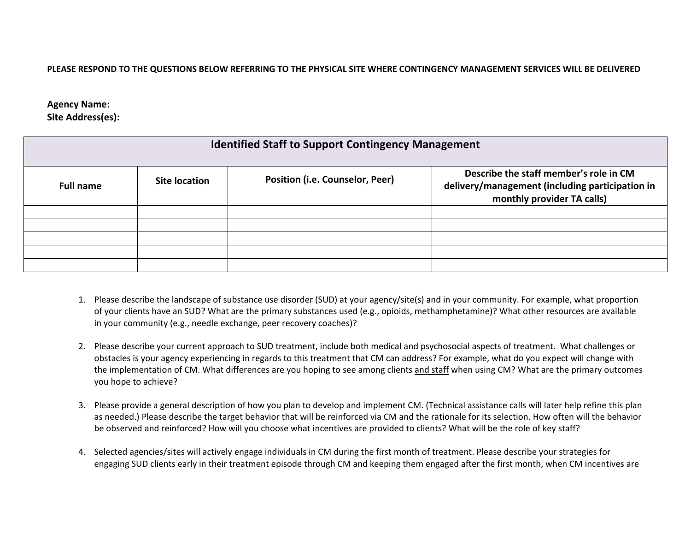## **PLEASE RESPOND TO THE QUESTIONS BELOW REFERRING TO THE PHYSICAL SITE WHERE CONTINGENCY MANAGEMENT SERVICES WILL BE DELIVERED**

# **Agency Name: Site Address(es):**

| <b>Identified Staff to Support Contingency Management</b> |               |                                        |                                                                                                                         |  |
|-----------------------------------------------------------|---------------|----------------------------------------|-------------------------------------------------------------------------------------------------------------------------|--|
| <b>Full name</b>                                          | Site location | <b>Position (i.e. Counselor, Peer)</b> | Describe the staff member's role in CM<br>delivery/management (including participation in<br>monthly provider TA calls) |  |
|                                                           |               |                                        |                                                                                                                         |  |
|                                                           |               |                                        |                                                                                                                         |  |
|                                                           |               |                                        |                                                                                                                         |  |
|                                                           |               |                                        |                                                                                                                         |  |
|                                                           |               |                                        |                                                                                                                         |  |

- 1. Please describe the landscape of substance use disorder (SUD) at your agency/site(s) and in your community. For example, what proportion of your clients have an SUD? What are the primary substances used (e.g., opioids, methamphetamine)? What other resources are available in your community (e.g., needle exchange, peer recovery coaches)?
- 2. Please describe your current approach to SUD treatment, include both medical and psychosocial aspects of treatment. What challenges or obstacles is your agency experiencing in regards to this treatment that CM can address? For example, what do you expect will change with the implementation of CM. What differences are you hoping to see among clients and staff when using CM? What are the primary outcomes you hope to achieve?
- 3. Please provide a general description of how you plan to develop and implement CM. (Technical assistance calls will later help refine this plan as needed.) Please describe the target behavior that will be reinforced via CM and the rationale for its selection. How often will the behavior be observed and reinforced? How will you choose what incentives are provided to clients? What will be the role of key staff?
- 4. Selected agencies/sites will actively engage individuals in CM during the first month of treatment. Please describe your strategies for engaging SUD clients early in their treatment episode through CM and keeping them engaged after the first month, when CM incentives are